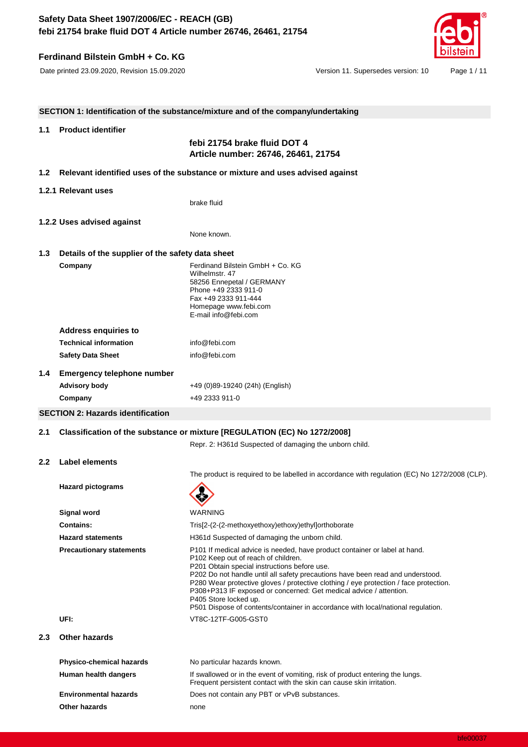# **Ferdinand Bilstein GmbH + Co. KG**

Date printed 23.09.2020, Revision 15.09.2020 Version 11. Supersedes version: 10 Page 1 / 11

|                          | SECTION 1: Identification of the substance/mixture and of the company/undertaking |                                                                                                                                                                                                                                                                                                                                                                                                                                                                                                                                 |  |
|--------------------------|-----------------------------------------------------------------------------------|---------------------------------------------------------------------------------------------------------------------------------------------------------------------------------------------------------------------------------------------------------------------------------------------------------------------------------------------------------------------------------------------------------------------------------------------------------------------------------------------------------------------------------|--|
|                          |                                                                                   |                                                                                                                                                                                                                                                                                                                                                                                                                                                                                                                                 |  |
| 1.1                      | <b>Product identifier</b>                                                         |                                                                                                                                                                                                                                                                                                                                                                                                                                                                                                                                 |  |
|                          |                                                                                   | febi 21754 brake fluid DOT 4<br>Article number: 26746, 26461, 21754                                                                                                                                                                                                                                                                                                                                                                                                                                                             |  |
| 1.2 <sub>1</sub>         |                                                                                   | Relevant identified uses of the substance or mixture and uses advised against                                                                                                                                                                                                                                                                                                                                                                                                                                                   |  |
|                          | 1.2.1 Relevant uses                                                               |                                                                                                                                                                                                                                                                                                                                                                                                                                                                                                                                 |  |
|                          |                                                                                   | brake fluid                                                                                                                                                                                                                                                                                                                                                                                                                                                                                                                     |  |
|                          | 1.2.2 Uses advised against                                                        |                                                                                                                                                                                                                                                                                                                                                                                                                                                                                                                                 |  |
|                          |                                                                                   | None known.                                                                                                                                                                                                                                                                                                                                                                                                                                                                                                                     |  |
| 1.3                      | Details of the supplier of the safety data sheet                                  |                                                                                                                                                                                                                                                                                                                                                                                                                                                                                                                                 |  |
|                          | Company                                                                           | Ferdinand Bilstein GmbH + Co. KG                                                                                                                                                                                                                                                                                                                                                                                                                                                                                                |  |
|                          |                                                                                   | Wilhelmstr. 47<br>58256 Ennepetal / GERMANY                                                                                                                                                                                                                                                                                                                                                                                                                                                                                     |  |
|                          |                                                                                   | Phone +49 2333 911-0                                                                                                                                                                                                                                                                                                                                                                                                                                                                                                            |  |
|                          |                                                                                   | Fax +49 2333 911-444                                                                                                                                                                                                                                                                                                                                                                                                                                                                                                            |  |
|                          |                                                                                   | Homepage www.febi.com<br>E-mail info@febi.com                                                                                                                                                                                                                                                                                                                                                                                                                                                                                   |  |
|                          | <b>Address enquiries to</b>                                                       |                                                                                                                                                                                                                                                                                                                                                                                                                                                                                                                                 |  |
|                          | <b>Technical information</b>                                                      | info@febi.com                                                                                                                                                                                                                                                                                                                                                                                                                                                                                                                   |  |
|                          | <b>Safety Data Sheet</b>                                                          | info@febi.com                                                                                                                                                                                                                                                                                                                                                                                                                                                                                                                   |  |
| 1.4                      | <b>Emergency telephone number</b>                                                 |                                                                                                                                                                                                                                                                                                                                                                                                                                                                                                                                 |  |
|                          | <b>Advisory body</b>                                                              | +49 (0)89-19240 (24h) (English)                                                                                                                                                                                                                                                                                                                                                                                                                                                                                                 |  |
|                          | Company                                                                           | +49 2333 911-0                                                                                                                                                                                                                                                                                                                                                                                                                                                                                                                  |  |
|                          | <b>SECTION 2: Hazards identification</b>                                          |                                                                                                                                                                                                                                                                                                                                                                                                                                                                                                                                 |  |
| 2.1                      | Classification of the substance or mixture [REGULATION (EC) No 1272/2008]         |                                                                                                                                                                                                                                                                                                                                                                                                                                                                                                                                 |  |
|                          |                                                                                   | Repr. 2: H361d Suspected of damaging the unborn child.                                                                                                                                                                                                                                                                                                                                                                                                                                                                          |  |
| $2.2^{\circ}$            | <b>Label elements</b>                                                             |                                                                                                                                                                                                                                                                                                                                                                                                                                                                                                                                 |  |
|                          |                                                                                   | The product is required to be labelled in accordance with regulation (EC) No 1272/2008 (CLP).                                                                                                                                                                                                                                                                                                                                                                                                                                   |  |
| <b>Hazard pictograms</b> |                                                                                   |                                                                                                                                                                                                                                                                                                                                                                                                                                                                                                                                 |  |
|                          |                                                                                   | X<br>Ö                                                                                                                                                                                                                                                                                                                                                                                                                                                                                                                          |  |
|                          | Signal word                                                                       | WARNING                                                                                                                                                                                                                                                                                                                                                                                                                                                                                                                         |  |
|                          | <b>Contains:</b>                                                                  | Tris[2-(2-(2-methoxyethoxy)ethoxy)ethyl]orthoborate                                                                                                                                                                                                                                                                                                                                                                                                                                                                             |  |
|                          | <b>Hazard statements</b>                                                          | H361d Suspected of damaging the unborn child.                                                                                                                                                                                                                                                                                                                                                                                                                                                                                   |  |
|                          | <b>Precautionary statements</b>                                                   | P101 If medical advice is needed, have product container or label at hand.<br>P102 Keep out of reach of children.<br>P201 Obtain special instructions before use.<br>P202 Do not handle until all safety precautions have been read and understood.<br>P280 Wear protective gloves / protective clothing / eye protection / face protection.<br>P308+P313 IF exposed or concerned: Get medical advice / attention.<br>P405 Store locked up.<br>P501 Dispose of contents/container in accordance with local/national regulation. |  |
|                          | UFI:                                                                              | VT8C-12TF-G005-GST0                                                                                                                                                                                                                                                                                                                                                                                                                                                                                                             |  |
| 2.3                      | Other hazards                                                                     |                                                                                                                                                                                                                                                                                                                                                                                                                                                                                                                                 |  |
|                          | <b>Physico-chemical hazards</b>                                                   | No particular hazards known.                                                                                                                                                                                                                                                                                                                                                                                                                                                                                                    |  |
|                          | Human health dangers                                                              | If swallowed or in the event of vomiting, risk of product entering the lungs.<br>Frequent persistent contact with the skin can cause skin irritation.                                                                                                                                                                                                                                                                                                                                                                           |  |
|                          | <b>Environmental hazards</b>                                                      | Does not contain any PBT or vPvB substances.                                                                                                                                                                                                                                                                                                                                                                                                                                                                                    |  |
|                          | Other hazards                                                                     | none                                                                                                                                                                                                                                                                                                                                                                                                                                                                                                                            |  |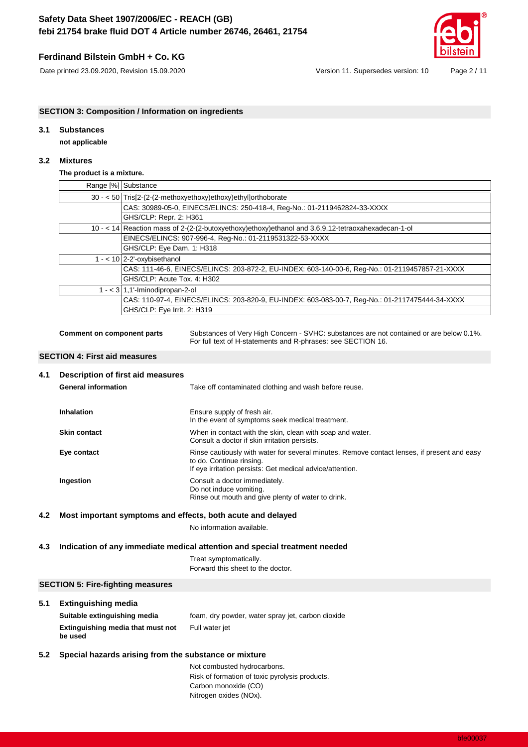## **Ferdinand Bilstein GmbH + Co. KG**



Date printed 23.09.2020, Revision 15.09.2020 Version 11. Supersedes version: 10 Page 2 / 11

### **SECTION 3: Composition / Information on ingredients**

## **3.1 Substances**

**not applicable**

### **3.2 Mixtures**

### **The product is a mixture.**

| Range [%] Substance                                                                                |
|----------------------------------------------------------------------------------------------------|
| 30 - < 50 Tris[2-(2-(2-methoxyethoxy)ethoxy)ethyllorthoborate                                      |
| CAS: 30989-05-0, EINECS/ELINCS: 250-418-4, Req-No.: 01-2119462824-33-XXXX                          |
| GHS/CLP: Repr. 2: H361                                                                             |
| 10 - < 14 Reaction mass of 2-(2-(2-butoxyethoxy)ethoxy)ethanol and 3,6,9,12-tetraoxahexadecan-1-ol |
| EINECS/ELINCS: 907-996-4, Req-No.: 01-2119531322-53-XXXX                                           |
| GHS/CLP: Eye Dam. 1: H318                                                                          |
| $1 - 10$ 2-2'-oxybisethanol                                                                        |
| CAS: 111-46-6, EINECS/ELINCS: 203-872-2, EU-INDEX: 603-140-00-6, Req-No.: 01-2119457857-21-XXXX    |
| GHS/CLP: Acute Tox. 4: H302                                                                        |
| $1 - 3$ 1,1'-lminodipropan-2-ol                                                                    |
| CAS: 110-97-4, EINECS/ELINCS: 203-820-9, EU-INDEX: 603-083-00-7, Req-No.: 01-2117475444-34-XXXX    |
| GHS/CLP: Eye Irrit. 2: H319                                                                        |
|                                                                                                    |

**Comment on component parts** Substances of Very High Concern - SVHC: substances are not contained or are below 0.1%. For full text of H-statements and R-phrases: see SECTION 16.

#### **SECTION 4: First aid measures**

| 4.1 | Description of first aid measures                           |                                                                                                                                                                                      |
|-----|-------------------------------------------------------------|--------------------------------------------------------------------------------------------------------------------------------------------------------------------------------------|
|     | <b>General information</b>                                  | Take off contaminated clothing and wash before reuse.                                                                                                                                |
|     | <b>Inhalation</b>                                           | Ensure supply of fresh air.<br>In the event of symptoms seek medical treatment.                                                                                                      |
|     | <b>Skin contact</b>                                         | When in contact with the skin, clean with soap and water.<br>Consult a doctor if skin irritation persists.                                                                           |
|     | Eye contact                                                 | Rinse cautiously with water for several minutes. Remove contact lenses, if present and easy<br>to do. Continue rinsing.<br>If eye irritation persists: Get medical advice/attention. |
|     | Ingestion                                                   | Consult a doctor immediately.<br>Do not induce vomiting.<br>Rinse out mouth and give plenty of water to drink.                                                                       |
| 4.2 | Most important symptoms and effects, both acute and delayed |                                                                                                                                                                                      |

No information available.

#### **4.3 Indication of any immediate medical attention and special treatment needed**

Treat symptomatically. Forward this sheet to the doctor.

#### **SECTION 5: Fire-fighting measures**

#### **5.1 Extinguishing media**

| Suitable extinguishing media                 | foam, dry powder, water spray jet, carbon dioxide |
|----------------------------------------------|---------------------------------------------------|
| Extinguishing media that must not<br>be used | Full water jet                                    |

### **5.2 Special hazards arising from the substance or mixture**

Not combusted hydrocarbons. Risk of formation of toxic pyrolysis products. Carbon monoxide (CO) Nitrogen oxides (NOx).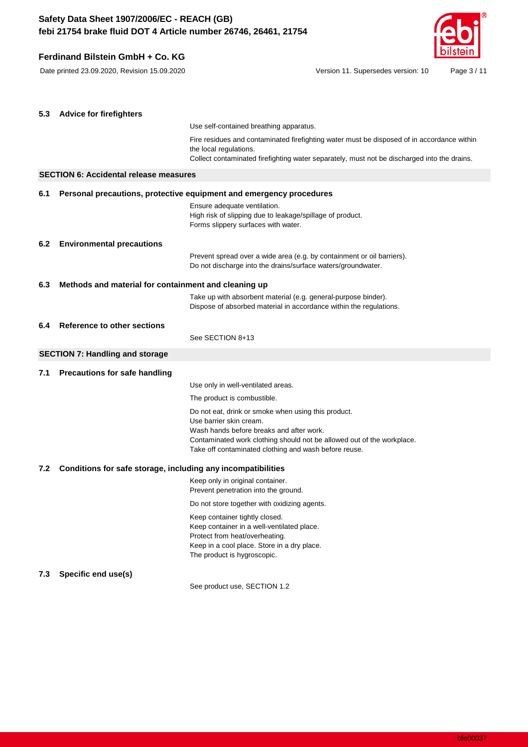# **Ferdinand Bilstein GmbH + Co. KG**



Date printed 23.09.2020, Revision 15.09.2020 Version 11. Supersedes version: 10 Page 3 / 11

| 5.3 | <b>Advice for firefighters</b>                                      |                                                                                                                                                                                                                                                               |
|-----|---------------------------------------------------------------------|---------------------------------------------------------------------------------------------------------------------------------------------------------------------------------------------------------------------------------------------------------------|
|     |                                                                     | Use self-contained breathing apparatus.                                                                                                                                                                                                                       |
|     |                                                                     | Fire residues and contaminated firefighting water must be disposed of in accordance within<br>the local regulations.<br>Collect contaminated firefighting water separately, must not be discharged into the drains.                                           |
|     |                                                                     |                                                                                                                                                                                                                                                               |
|     | <b>SECTION 6: Accidental release measures</b>                       |                                                                                                                                                                                                                                                               |
| 6.1 | Personal precautions, protective equipment and emergency procedures |                                                                                                                                                                                                                                                               |
|     |                                                                     | Ensure adequate ventilation.<br>High risk of slipping due to leakage/spillage of product.<br>Forms slippery surfaces with water.                                                                                                                              |
| 6.2 | <b>Environmental precautions</b>                                    |                                                                                                                                                                                                                                                               |
|     |                                                                     | Prevent spread over a wide area (e.g. by containment or oil barriers).<br>Do not discharge into the drains/surface waters/groundwater.                                                                                                                        |
| 6.3 | Methods and material for containment and cleaning up                |                                                                                                                                                                                                                                                               |
|     |                                                                     | Take up with absorbent material (e.g. general-purpose binder).<br>Dispose of absorbed material in accordance within the regulations.                                                                                                                          |
| 6.4 | Reference to other sections                                         |                                                                                                                                                                                                                                                               |
|     |                                                                     | See SECTION 8+13                                                                                                                                                                                                                                              |
|     | <b>SECTION 7: Handling and storage</b>                              |                                                                                                                                                                                                                                                               |
| 7.1 | Precautions for safe handling                                       |                                                                                                                                                                                                                                                               |
|     |                                                                     | Use only in well-ventilated areas.                                                                                                                                                                                                                            |
|     |                                                                     | The product is combustible.                                                                                                                                                                                                                                   |
|     |                                                                     | Do not eat, drink or smoke when using this product.<br>Use barrier skin cream.<br>Wash hands before breaks and after work.<br>Contaminated work clothing should not be allowed out of the workplace.<br>Take off contaminated clothing and wash before reuse. |
| 7.2 | Conditions for safe storage, including any incompatibilities        |                                                                                                                                                                                                                                                               |
|     |                                                                     | Keep only in original container.<br>Prevent penetration into the ground.                                                                                                                                                                                      |
|     |                                                                     | Do not store together with oxidizing agents.                                                                                                                                                                                                                  |
|     |                                                                     | Keep container tightly closed.<br>Keep container in a well-ventilated place.<br>Protect from heat/overheating.                                                                                                                                                |
|     |                                                                     | Keep in a cool place. Store in a dry place.<br>The product is hygroscopic.                                                                                                                                                                                    |
| 7.3 | Specific end use(s)                                                 |                                                                                                                                                                                                                                                               |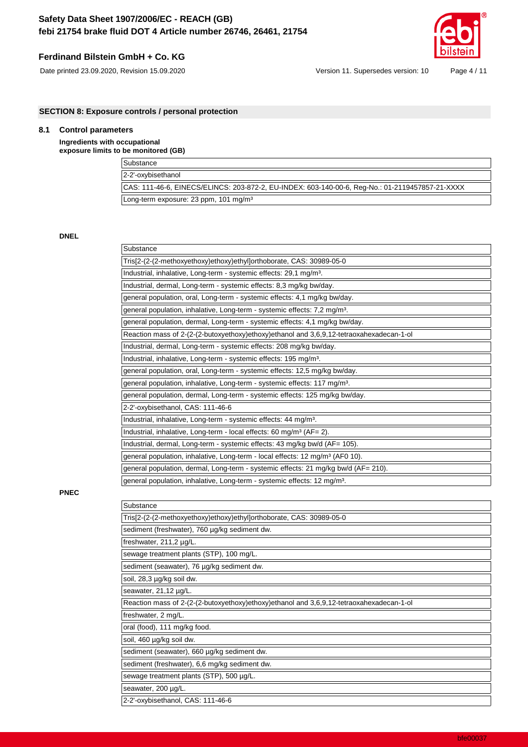## **Ferdinand Bilstein GmbH + Co. KG**



Date printed 23.09.2020, Revision 15.09.2020 Version 11. Supersedes version: 10 Page 4 / 11

**SECTION 8: Exposure controls / personal protection**

## **8.1 Control parameters**

### **Ingredients with occupational exposure limits to be monitored (GB)**

| <b>NO INVITION ION I</b>                                                                        |
|-------------------------------------------------------------------------------------------------|
| Substance                                                                                       |
| 2-2'-oxybisethanol                                                                              |
| CAS: 111-46-6, EINECS/ELINCS: 203-872-2, EU-INDEX: 603-140-00-6, Reg-No.: 01-2119457857-21-XXXX |
| Long-term exposure: 23 ppm, 101 mg/m <sup>3</sup>                                               |

**DNEL**

| Substance                                                                                 |
|-------------------------------------------------------------------------------------------|
| Tris[2-(2-(2-methoxyethoxy)ethoxy)ethyl]orthoborate, CAS: 30989-05-0                      |
| Industrial, inhalative, Long-term - systemic effects: 29,1 mg/m <sup>3</sup> .            |
| Industrial, dermal, Long-term - systemic effects: 8,3 mg/kg bw/day.                       |
| general population, oral, Long-term - systemic effects: 4,1 mg/kg bw/day.                 |
| general population, inhalative, Long-term - systemic effects: 7,2 mg/m <sup>3</sup> .     |
| general population, dermal, Long-term - systemic effects: 4,1 mg/kg bw/day.               |
| Reaction mass of 2-(2-(2-butoxyethoxy)ethoxy)ethanol and 3,6,9,12-tetraoxahexadecan-1-ol  |
| Industrial, dermal, Long-term - systemic effects: 208 mg/kg bw/day.                       |
| Industrial, inhalative, Long-term - systemic effects: 195 mg/m <sup>3</sup> .             |
| general population, oral, Long-term - systemic effects: 12,5 mg/kg bw/day.                |
| general population, inhalative, Long-term - systemic effects: 117 mg/m <sup>3</sup> .     |
| general population, dermal, Long-term - systemic effects: 125 mg/kg bw/day.               |
| 2-2'-oxybisethanol, CAS: 111-46-6                                                         |
| Industrial, inhalative, Long-term - systemic effects: 44 mg/m <sup>3</sup> .              |
| Industrial, inhalative, Long-term - local effects: 60 mg/m <sup>3</sup> (AF= 2).          |
| Industrial, dermal, Long-term - systemic effects: 43 mg/kg bw/d (AF= 105).                |
| general population, inhalative, Long-term - local effects: 12 mg/m <sup>3</sup> (AF0 10). |
| general population, dermal, Long-term - systemic effects: 21 mg/kg bw/d (AF= 210).        |
| general population, inhalative, Long-term - systemic effects: 12 mg/m <sup>3</sup> .      |
|                                                                                           |

**PNEC**

| Substance                                                                                |
|------------------------------------------------------------------------------------------|
| Tris[2-(2-(2-methoxyethoxy)ethoxy)ethyl]orthoborate, CAS: 30989-05-0                     |
| sediment (freshwater), 760 µg/kg sediment dw.                                            |
| freshwater, 211,2 µg/L.                                                                  |
| sewage treatment plants (STP), 100 mg/L.                                                 |
| sediment (seawater), 76 µg/kg sediment dw.                                               |
| soil, 28,3 µg/kg soil dw.                                                                |
| seawater, 21,12 µg/L.                                                                    |
| Reaction mass of 2-(2-(2-butoxyethoxy)ethoxy)ethanol and 3,6,9,12-tetraoxahexadecan-1-ol |
| freshwater, 2 mg/L.                                                                      |
| oral (food), 111 mg/kg food.                                                             |
| soil, 460 µg/kg soil dw.                                                                 |
| sediment (seawater), 660 µg/kg sediment dw.                                              |
| sediment (freshwater), 6,6 mg/kg sediment dw.                                            |
| sewage treatment plants (STP), 500 µg/L.                                                 |
| seawater, 200 µg/L.                                                                      |
| 2-2'-oxybisethanol, CAS: 111-46-6                                                        |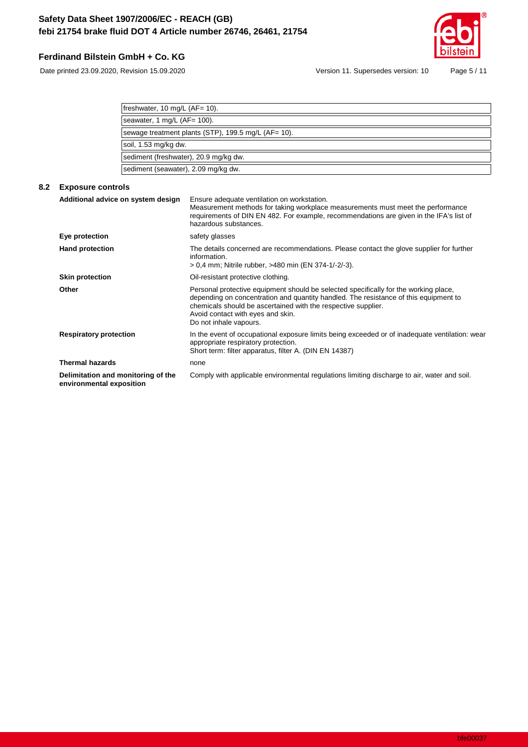# **Ferdinand Bilstein GmbH + Co. KG**

Date printed 23.09.2020, Revision 15.09.2020 Version 11. Supersedes version: 10 Page 5 / 11

| freshwater, 10 mg/L (AF= 10).                       |
|-----------------------------------------------------|
|                                                     |
| seawater, 1 mg/L $(AF = 100)$ .                     |
|                                                     |
| sewage treatment plants (STP), 199.5 mg/L (AF= 10). |
|                                                     |
| soil, 1.53 mg/kg dw.                                |
|                                                     |
| sediment (freshwater), 20.9 mg/kg dw.               |
|                                                     |
| sediment (seawater), 2.09 mg/kg dw.                 |

## **8.2 Exposure controls**

| Additional advice on system design                             | Ensure adequate ventilation on workstation.<br>Measurement methods for taking workplace measurements must meet the performance<br>requirements of DIN EN 482. For example, recommendations are given in the IFA's list of<br>hazardous substances.                                                           |
|----------------------------------------------------------------|--------------------------------------------------------------------------------------------------------------------------------------------------------------------------------------------------------------------------------------------------------------------------------------------------------------|
| Eye protection                                                 | safety glasses                                                                                                                                                                                                                                                                                               |
| <b>Hand protection</b>                                         | The details concerned are recommendations. Please contact the glove supplier for further<br>information.<br>> 0,4 mm; Nitrile rubber, >480 min (EN 374-1/-2/-3).                                                                                                                                             |
| <b>Skin protection</b>                                         | Oil-resistant protective clothing.                                                                                                                                                                                                                                                                           |
| Other                                                          | Personal protective equipment should be selected specifically for the working place,<br>depending on concentration and quantity handled. The resistance of this equipment to<br>chemicals should be ascertained with the respective supplier.<br>Avoid contact with eyes and skin.<br>Do not inhale vapours. |
| <b>Respiratory protection</b>                                  | In the event of occupational exposure limits being exceeded or of inadequate ventilation: wear<br>appropriate respiratory protection.<br>Short term: filter apparatus, filter A. (DIN EN 14387)                                                                                                              |
| <b>Thermal hazards</b>                                         | none                                                                                                                                                                                                                                                                                                         |
| Delimitation and monitoring of the<br>environmental exposition | Comply with applicable environmental regulations limiting discharge to air, water and soil.                                                                                                                                                                                                                  |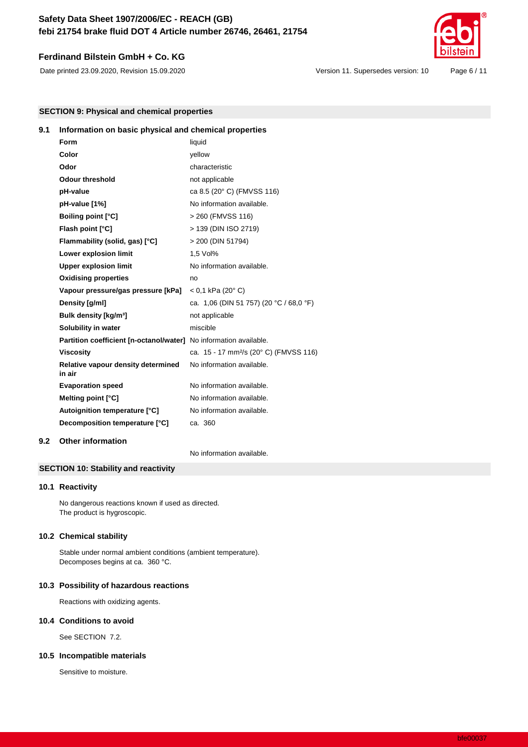## **Ferdinand Bilstein GmbH + Co. KG**



Date printed 23.09.2020, Revision 15.09.2020 Version 11. Supersedes version: 10 Page 6 / 11

**SECTION 9: Physical and chemical properties**

# **9.1 Information on basic physical and chemical properties**

| Form                                                              | liquid                                             |
|-------------------------------------------------------------------|----------------------------------------------------|
| Color                                                             | vellow                                             |
| Odor                                                              | characteristic                                     |
| <b>Odour threshold</b>                                            | not applicable                                     |
| pH-value                                                          | ca 8.5 (20° C) (FMVSS 116)                         |
| pH-value [1%]                                                     | No information available.                          |
| <b>Boiling point [°C]</b>                                         | > 260 (FMVSS 116)                                  |
| Flash point [°C]                                                  | > 139 (DIN ISO 2719)                               |
| Flammability (solid, gas) [°C]                                    | > 200 (DIN 51794)                                  |
| Lower explosion limit                                             | 1.5 Vol%                                           |
| <b>Upper explosion limit</b>                                      | No information available.                          |
| <b>Oxidising properties</b>                                       | no                                                 |
| Vapour pressure/gas pressure [kPa]                                | $< 0.1$ kPa (20 $^{\circ}$ C)                      |
| Density [g/ml]                                                    | ca. 1,06 (DIN 51 757) (20 °C / 68,0 °F)            |
| Bulk density [kg/m <sup>3</sup> ]                                 | not applicable                                     |
| Solubility in water                                               | miscible                                           |
| Partition coefficient [n-octanol/water] No information available. |                                                    |
| <b>Viscosity</b>                                                  | ca. 15 - 17 mm <sup>2</sup> /s (20° C) (FMVSS 116) |
| Relative vapour density determined<br>in air                      | No information available.                          |
| <b>Evaporation speed</b>                                          | No information available.                          |
| Melting point [°C]                                                | No information available.                          |
| Autoignition temperature [°C]                                     | No information available.                          |
| Decomposition temperature [°C]                                    | ca. 360                                            |
|                                                                   |                                                    |

**9.2 Other information**

No information available.

## **SECTION 10: Stability and reactivity**

#### **10.1 Reactivity**

No dangerous reactions known if used as directed. The product is hygroscopic.

#### **10.2 Chemical stability**

Stable under normal ambient conditions (ambient temperature). Decomposes begins at ca. 360 °C.

#### **10.3 Possibility of hazardous reactions**

Reactions with oxidizing agents.

#### **10.4 Conditions to avoid**

See SECTION 7.2.

#### **10.5 Incompatible materials**

Sensitive to moisture.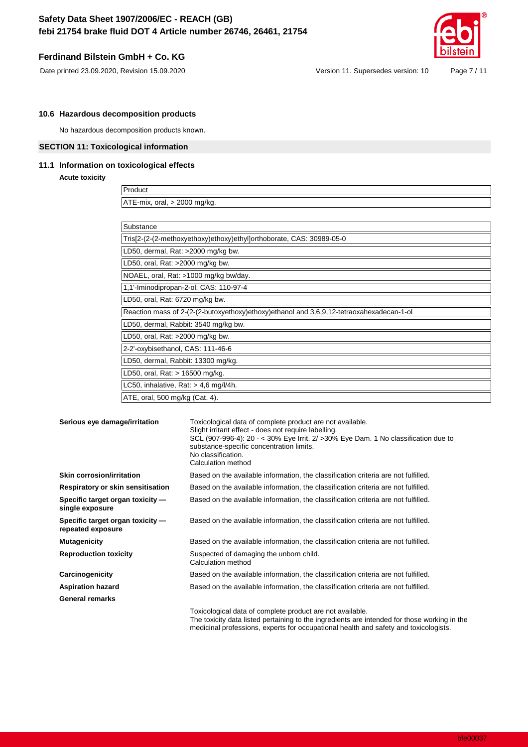## **Ferdinand Bilstein GmbH + Co. KG**



Date printed 23.09.2020, Revision 15.09.2020 Version 11. Supersedes version: 10 Page 7 / 11

### **10.6 Hazardous decomposition products**

No hazardous decomposition products known.

### **SECTION 11: Toxicological information**

### **11.1 Information on toxicological effects**

**Acute toxicity**

Product ATE-mix, oral, > 2000 mg/kg.

| Substance                                                                                |
|------------------------------------------------------------------------------------------|
| Tris[2-(2-(2-methoxyethoxy)ethoxy)ethyl]orthoborate, CAS: 30989-05-0                     |
| LD50, dermal, Rat: >2000 mg/kg bw.                                                       |
| LD50, oral, Rat: $>2000$ mg/kg bw.                                                       |
| NOAEL, oral, Rat: >1000 mg/kg bw/day.                                                    |
| 1,1'-Iminodipropan-2-ol, CAS: 110-97-4                                                   |
| LD50, oral, Rat: 6720 mg/kg bw.                                                          |
| Reaction mass of 2-(2-(2-butoxyethoxy)ethoxy)ethanol and 3,6,9,12-tetraoxahexadecan-1-ol |
| LD50, dermal, Rabbit: 3540 mg/kg bw.                                                     |
| LD50, oral, Rat: >2000 mg/kg bw.                                                         |
| 2-2'-oxybisethanol, CAS: 111-46-6                                                        |
| LD50, dermal, Rabbit: 13300 mg/kg.                                                       |
| LD50, oral, Rat: > 16500 mg/kg.                                                          |
| LC50, inhalative, Rat: $> 4.6$ mg/l/4h.                                                  |
| ATE, oral, 500 mg/kg (Cat. 4).                                                           |

| Serious eye damage/irritation                         | Toxicological data of complete product are not available.<br>Slight irritant effect - does not require labelling.<br>SCL (907-996-4): 20 - < 30% Eye Irrit. 2/ > 30% Eye Dam. 1 No classification due to<br>substance-specific concentration limits.<br>No classification.<br>Calculation method |
|-------------------------------------------------------|--------------------------------------------------------------------------------------------------------------------------------------------------------------------------------------------------------------------------------------------------------------------------------------------------|
| <b>Skin corrosion/irritation</b>                      | Based on the available information, the classification criteria are not fulfilled.                                                                                                                                                                                                               |
| Respiratory or skin sensitisation                     | Based on the available information, the classification criteria are not fulfilled.                                                                                                                                                                                                               |
| Specific target organ toxicity -<br>single exposure   | Based on the available information, the classification criteria are not fulfilled.                                                                                                                                                                                                               |
| Specific target organ toxicity -<br>repeated exposure | Based on the available information, the classification criteria are not fulfilled.                                                                                                                                                                                                               |
| <b>Mutagenicity</b>                                   | Based on the available information, the classification criteria are not fulfilled.                                                                                                                                                                                                               |
| <b>Reproduction toxicity</b>                          | Suspected of damaging the unborn child.<br>Calculation method                                                                                                                                                                                                                                    |
| Carcinogenicity                                       | Based on the available information, the classification criteria are not fulfilled.                                                                                                                                                                                                               |
| <b>Aspiration hazard</b>                              | Based on the available information, the classification criteria are not fulfilled.                                                                                                                                                                                                               |
| <b>General remarks</b>                                |                                                                                                                                                                                                                                                                                                  |
|                                                       | Toxicological data of complete product are not available.<br>The toxicity data listed pertaining to the ingredients are intended for those working in the<br>medicinal professions, experts for occupational health and safety and toxicologists.                                                |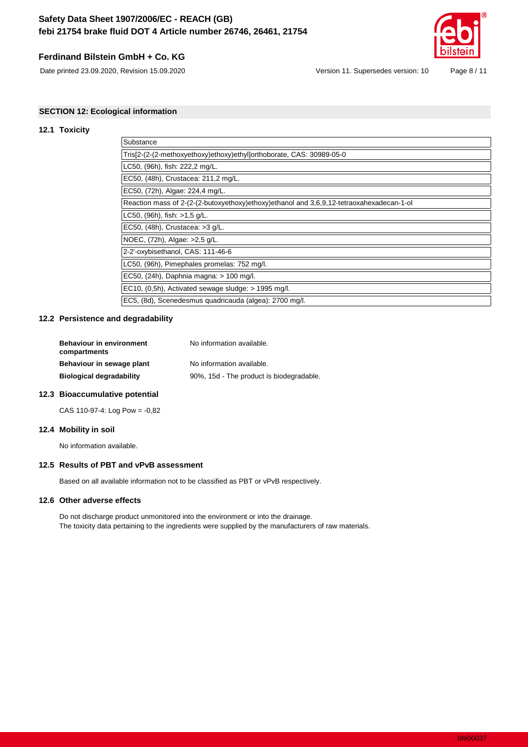## **Ferdinand Bilstein GmbH + Co. KG**

Date printed 23.09.2020, Revision 15.09.2020 Version 11. Supersedes version: 10 Page 8 / 11



## **SECTION 12: Ecological information**

### **12.1 Toxicity**

| Substance                                                                                |
|------------------------------------------------------------------------------------------|
| Tris[2-(2-(2-methoxyethoxy)ethoxy)ethyl]orthoborate, CAS: 30989-05-0                     |
| LC50, (96h), fish: 222,2 mg/L.                                                           |
| EC50, (48h), Crustacea: 211,2 mg/L.                                                      |
| EC50, (72h), Algae: 224,4 mg/L.                                                          |
| Reaction mass of 2-(2-(2-butoxyethoxy)ethoxy)ethanol and 3,6,9,12-tetraoxahexadecan-1-ol |
| LC50, (96h), fish: >1,5 g/L.                                                             |
| EC50, (48h), Crustacea: >3 g/L.                                                          |
| NOEC, (72h), Algae: >2.5 g/L.                                                            |
| 2-2'-oxybisethanol, CAS: 111-46-6                                                        |
| LC50, (96h), Pimephales promelas: 752 mg/l.                                              |
| EC50, (24h), Daphnia magna: > 100 mg/l.                                                  |
| EC10, $(0,5h)$ , Activated sewage sludge: $> 1995$ mg/l.                                 |
| EC5, (8d), Scenedesmus quadricauda (algea): 2700 mg/l.                                   |

#### **12.2 Persistence and degradability**

| <b>Behaviour in environment</b><br>compartments | No information available.                |
|-------------------------------------------------|------------------------------------------|
| Behaviour in sewage plant                       | No information available.                |
| <b>Biological degradability</b>                 | 90%, 15d - The product is biodegradable. |
|                                                 |                                          |

### **12.3 Bioaccumulative potential**

CAS 110-97-4: Log Pow = -0,82

#### **12.4 Mobility in soil**

No information available.

### **12.5 Results of PBT and vPvB assessment**

Based on all available information not to be classified as PBT or vPvB respectively.

#### **12.6 Other adverse effects**

Do not discharge product unmonitored into the environment or into the drainage. The toxicity data pertaining to the ingredients were supplied by the manufacturers of raw materials.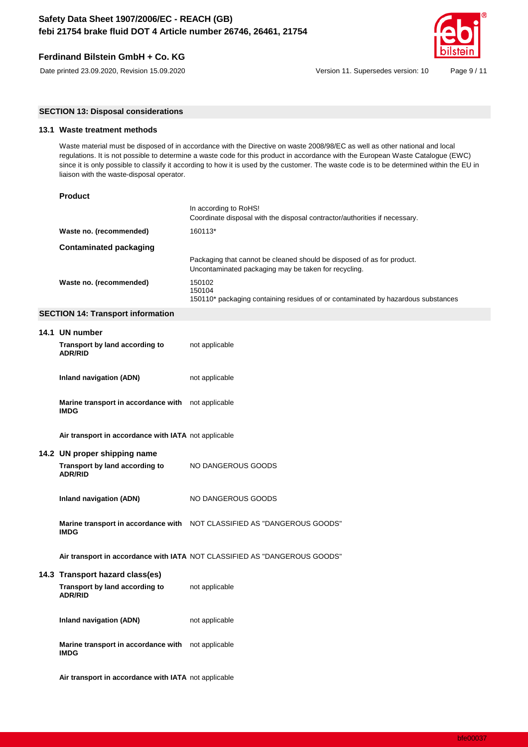## **Ferdinand Bilstein GmbH + Co. KG**



Date printed 23.09.2020, Revision 15.09.2020 Version 11. Supersedes version: 10 Page 9 / 11

**SECTION 13: Disposal considerations**

### **13.1 Waste treatment methods**

Waste material must be disposed of in accordance with the Directive on waste 2008/98/EC as well as other national and local regulations. It is not possible to determine a waste code for this product in accordance with the European Waste Catalogue (EWC) since it is only possible to classify it according to how it is used by the customer. The waste code is to be determined within the EU in liaison with the waste-disposal operator.

|                         | In according to RoHS!<br>Coordinate disposal with the disposal contractor/authorities if necessary.                            |
|-------------------------|--------------------------------------------------------------------------------------------------------------------------------|
| Waste no. (recommended) | 160113*                                                                                                                        |
| Contaminated packaging  |                                                                                                                                |
|                         | Packaging that cannot be cleaned should be disposed of as for product.<br>Uncontaminated packaging may be taken for recycling. |
| Waste no. (recommended) | 150102<br>150104<br>150110* packaging containing residues of or contaminated by hazardous substances                           |

#### **SECTION 14: Transport information**

| 14.1 UN number                                                    |                                                                           |
|-------------------------------------------------------------------|---------------------------------------------------------------------------|
| Transport by land according to<br><b>ADR/RID</b>                  | not applicable                                                            |
| Inland navigation (ADN)                                           | not applicable                                                            |
| Marine transport in accordance with not applicable<br><b>IMDG</b> |                                                                           |
| Air transport in accordance with IATA not applicable              |                                                                           |
| 14.2 UN proper shipping name                                      |                                                                           |
| Transport by land according to<br><b>ADR/RID</b>                  | NO DANGEROUS GOODS                                                        |
| Inland navigation (ADN)                                           | NO DANGEROUS GOODS                                                        |
| <b>IMDG</b>                                                       | Marine transport in accordance with NOT CLASSIFIED AS "DANGEROUS GOODS"   |
|                                                                   | Air transport in accordance with IATA NOT CLASSIFIED AS "DANGEROUS GOODS" |
| 14.3 Transport hazard class(es)                                   |                                                                           |
| Transport by land according to<br><b>ADR/RID</b>                  | not applicable                                                            |
| <b>Inland navigation (ADN)</b>                                    | not applicable                                                            |
| Marine transport in accordance with not applicable<br><b>IMDG</b> |                                                                           |
| Air transport in accordance with IATA not applicable              |                                                                           |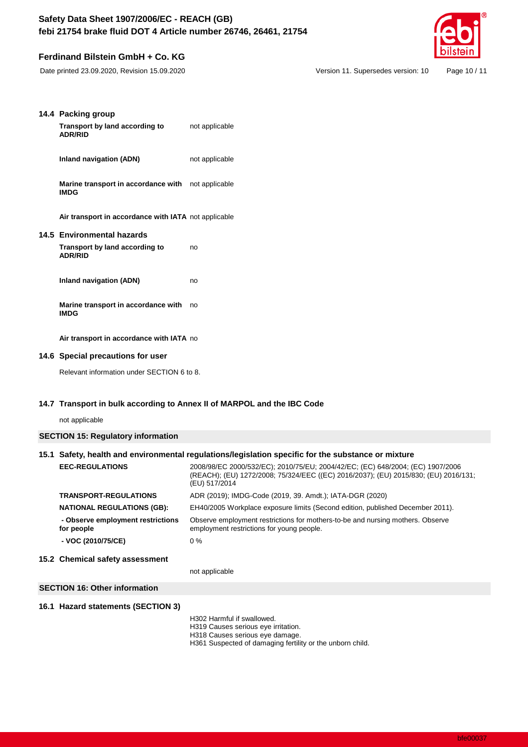# **Ferdinand Bilstein GmbH + Co. KG**



Date printed 23.09.2020, Revision 15.09.2020 Version 11. Supersedes version: 10 Page 10 / 11

| 14.4 Packing group<br>Transport by land according to<br><b>ADR/RID</b> | not applicable                                                                                                                                                                     |
|------------------------------------------------------------------------|------------------------------------------------------------------------------------------------------------------------------------------------------------------------------------|
| Inland navigation (ADN)                                                | not applicable                                                                                                                                                                     |
| Marine transport in accordance with<br><b>IMDG</b>                     | not applicable                                                                                                                                                                     |
| Air transport in accordance with IATA not applicable                   |                                                                                                                                                                                    |
| 14.5 Environmental hazards                                             |                                                                                                                                                                                    |
| Transport by land according to<br><b>ADR/RID</b>                       | no                                                                                                                                                                                 |
| Inland navigation (ADN)                                                | no                                                                                                                                                                                 |
| Marine transport in accordance with<br><b>IMDG</b>                     | no                                                                                                                                                                                 |
| Air transport in accordance with IATA no                               |                                                                                                                                                                                    |
| 14.6 Special precautions for user                                      |                                                                                                                                                                                    |
| Relevant information under SECTION 6 to 8.                             |                                                                                                                                                                                    |
|                                                                        | 14.7 Transport in bulk according to Annex II of MARPOL and the IBC Code                                                                                                            |
| not applicable                                                         |                                                                                                                                                                                    |
| <b>SECTION 15: Regulatory information</b>                              |                                                                                                                                                                                    |
|                                                                        | 15.1 Safety, health and environmental regulations/legislation specific for the substance or mixture                                                                                |
| <b>EEC-REGULATIONS</b>                                                 | 2008/98/EC 2000/532/EC); 2010/75/EU; 2004/42/EC; (EC) 648/2004; (EC) 1907/2006<br>(REACH); (EU) 1272/2008; 75/324/EEC ((EC) 2016/2037); (EU) 2015/830; (EU) 2016/<br>(EU) 517/2014 |

| 0. Okamical safetu sasasamant                   |                                                                                                                             |
|-------------------------------------------------|-----------------------------------------------------------------------------------------------------------------------------|
| - VOC (2010/75/CE)                              | $0\%$                                                                                                                       |
| - Observe employment restrictions<br>for people | Observe employment restrictions for mothers-to-be and nursing mothers. Observe<br>employment restrictions for young people. |
| <b>NATIONAL REGULATIONS (GB):</b>               | EH40/2005 Workplace exposure limits (Second edition, published December 2011).                                              |
| <b>TRANSPORT-REGULATIONS</b>                    | ADR (2019); IMDG-Code (2019, 39. Amdt.); IATA-DGR (2020)                                                                    |
|                                                 | (REACH); (EU) 1272/2008; 75/324/EEC ((EC) 2016/2037); (EU) 2015/830; (EU) 2016/131;<br>(EU) 517/2014                        |

### **15.2 Chemical safety assessment**

not applicable

### **SECTION 16: Other information**

## **16.1 Hazard statements (SECTION 3)**

- H302 Harmful if swallowed.
- H319 Causes serious eye irritation.
- H318 Causes serious eye damage.
- H361 Suspected of damaging fertility or the unborn child.